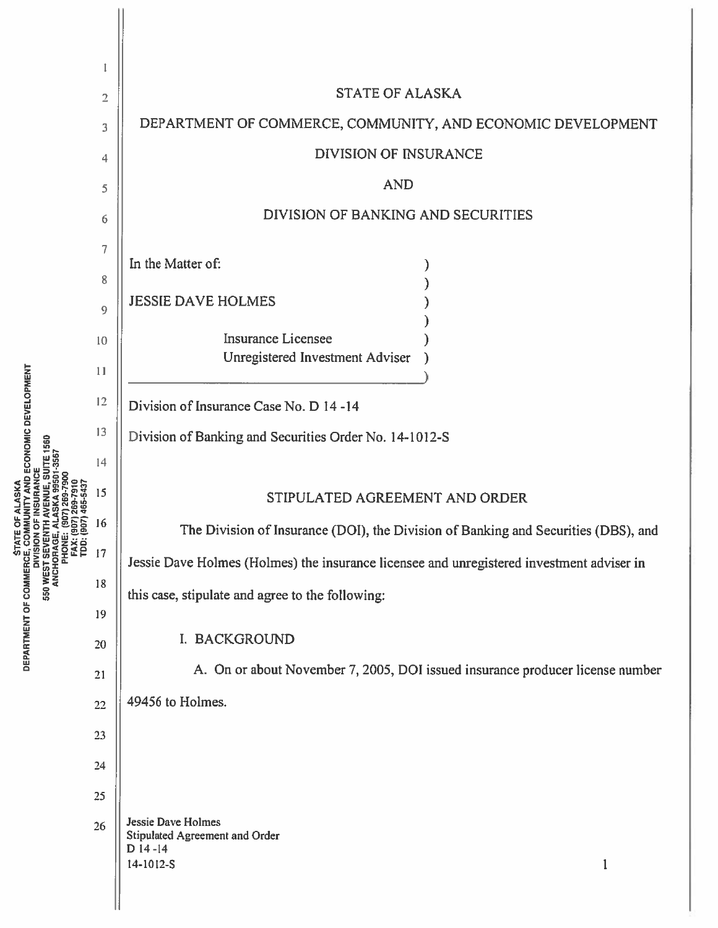|                                                                                                                            | $\overline{2}$ | <b>STATE OF ALASKA</b>                                                                    |
|----------------------------------------------------------------------------------------------------------------------------|----------------|-------------------------------------------------------------------------------------------|
|                                                                                                                            | 3              | DEPARTMENT OF COMMERCE, COMMUNITY, AND ECONOMIC DEVELOPMENT                               |
|                                                                                                                            | 4              | <b>DIVISION OF INSURANCE</b>                                                              |
|                                                                                                                            | 5              | <b>AND</b>                                                                                |
|                                                                                                                            | 6              | DIVISION OF BANKING AND SECURITIES                                                        |
|                                                                                                                            | $\overline{7}$ |                                                                                           |
|                                                                                                                            | 8              | In the Matter of:                                                                         |
|                                                                                                                            | 9              | <b>JESSIE DAVE HOLMES</b>                                                                 |
|                                                                                                                            | 10             | <b>Insurance Licensee</b>                                                                 |
|                                                                                                                            | 11             | Unregistered Investment Adviser                                                           |
|                                                                                                                            | 12             | Division of Insurance Case No. D 14-14                                                    |
| <b>ECONOMIC DEVELOPMENT</b>                                                                                                | 13             | Division of Banking and Securities Order No. 14-1012-S                                    |
|                                                                                                                            | 14             |                                                                                           |
|                                                                                                                            | 15             | STIPULATED AGREEMENT AND ORDER                                                            |
|                                                                                                                            | 16             | The Division of Insurance (DOI), the Division of Banking and Securities (DBS), and        |
| PHONE:<br>FAX: (BC<br>TDD: (BC<br>ANCHORAGE                                                                                | 17             | Jessie Dave Holmes (Holmes) the insurance licensee and unregistered investment adviser in |
| <b>STATE (SEARTMENT OF COMMERCE, COMP</b><br>DIVISION<br>DIVISION DIVISION OF COMMERCE, COMP<br>DIVISION OF COMMERCE, COMP | 18             |                                                                                           |
|                                                                                                                            | 19             | this case, stipulate and agree to the following:                                          |
|                                                                                                                            | 20             | I. BACKGROUND                                                                             |
|                                                                                                                            | 21             | A. On or about November 7, 2005, DOI issued insurance producer license number             |
|                                                                                                                            | 22             | 49456 to Holmes.                                                                          |
|                                                                                                                            | 23             |                                                                                           |
|                                                                                                                            | 24             |                                                                                           |
|                                                                                                                            | 25             |                                                                                           |
|                                                                                                                            | 26             | <b>Jessie Dave Holmes</b>                                                                 |
|                                                                                                                            |                | Stipulated Agreement and Order<br>$D$ 14-14<br>14-1012-S                                  |
|                                                                                                                            |                | $\mathbf{1}$                                                                              |
|                                                                                                                            |                |                                                                                           |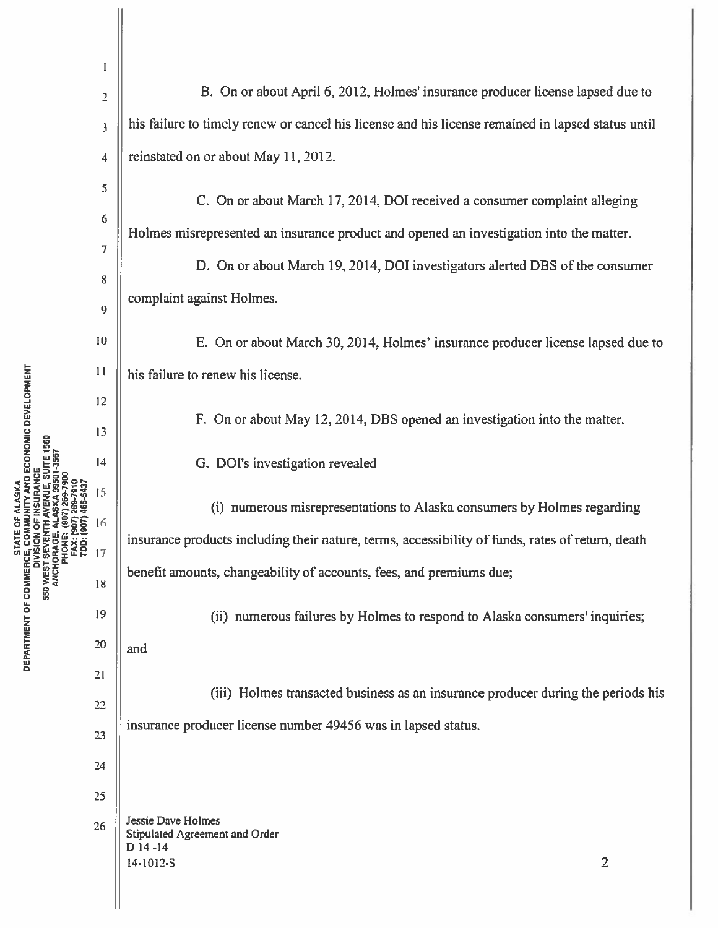| AND ECONOMIC DEVELOPMENT<br>1560                                                                                                       | I              |                                                                                                   |
|----------------------------------------------------------------------------------------------------------------------------------------|----------------|---------------------------------------------------------------------------------------------------|
|                                                                                                                                        | $\overline{c}$ | B. On or about April 6, 2012, Holmes' insurance producer license lapsed due to                    |
|                                                                                                                                        | 3              | his failure to timely renew or cancel his license and his license remained in lapsed status until |
|                                                                                                                                        | 4              | reinstated on or about May 11, 2012.                                                              |
|                                                                                                                                        | 5              | C. On or about March 17, 2014, DOI received a consumer complaint alleging                         |
|                                                                                                                                        | 6              | Holmes misrepresented an insurance product and opened an investigation into the matter.           |
|                                                                                                                                        | 7              | D. On or about March 19, 2014, DOI investigators alerted DBS of the consumer                      |
|                                                                                                                                        | 8              | complaint against Holmes.                                                                         |
|                                                                                                                                        | 9              |                                                                                                   |
|                                                                                                                                        | 10             | E. On or about March 30, 2014, Holmes' insurance producer license lapsed due to                   |
|                                                                                                                                        | 11             | his failure to renew his license.                                                                 |
|                                                                                                                                        | 12             | F. On or about May 12, 2014, DBS opened an investigation into the matter.                         |
|                                                                                                                                        | 13<br>14       |                                                                                                   |
|                                                                                                                                        | 15             | G. DOI's investigation revealed                                                                   |
| <b>SOS</b>                                                                                                                             | 16             | (i) numerous misrepresentations to Alaska consumers by Holmes regarding                           |
| PHONE:<br>FAX: (<br>TDD: (1                                                                                                            | 17             | insurance products including their nature, terms, accessibility of funds, rates of return, death  |
| <b>STATE AND STATE AND STATE AND STATE CONFIDENCE, CONSIDENT CONSIDENT</b><br>DIVISION<br>DIVISION STATE AND SUPPOSE SEVEN<br>ANCHORAG | 18             | benefit amounts, changeability of accounts, fees, and premiums due;                               |
|                                                                                                                                        | 19             | (ii) numerous failures by Holmes to respond to Alaska consumers' inquiries;                       |
|                                                                                                                                        | 20             | and                                                                                               |
|                                                                                                                                        | 21             |                                                                                                   |
|                                                                                                                                        | 22             | (iii) Holmes transacted business as an insurance producer during the periods his                  |
|                                                                                                                                        | 23             | insurance producer license number 49456 was in lapsed status.                                     |
|                                                                                                                                        | 24             |                                                                                                   |
|                                                                                                                                        | 25             |                                                                                                   |
|                                                                                                                                        | 26             | <b>Jessie Dave Holmes</b><br>Stipulated Agreement and Order<br>$D$ 14 -14                         |
|                                                                                                                                        |                | $\overline{2}$<br>14-1012-S                                                                       |
|                                                                                                                                        |                |                                                                                                   |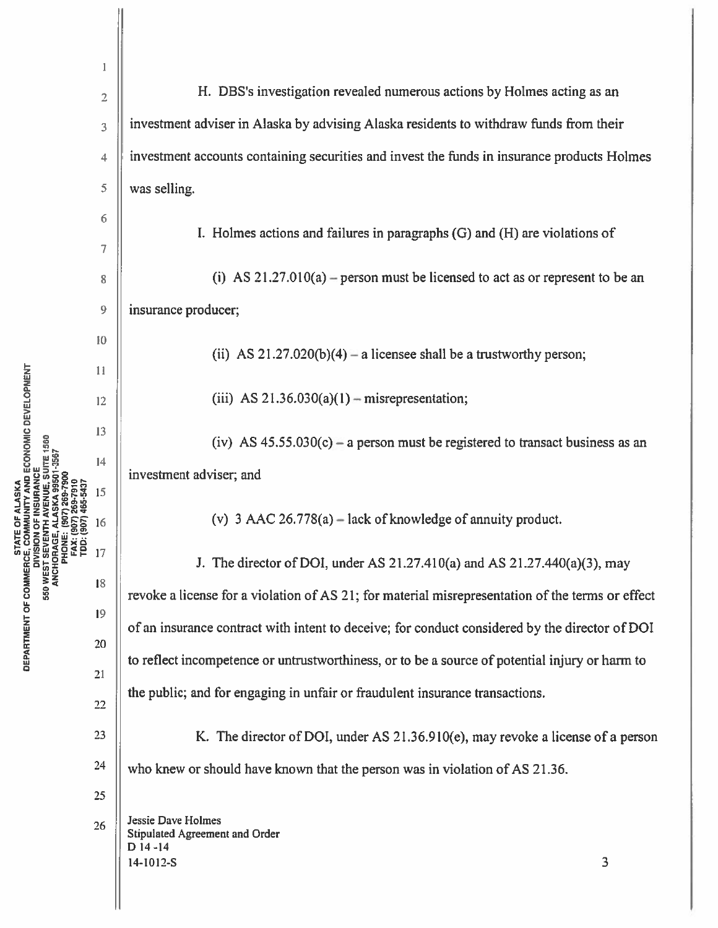|                                                                                                          | 1                       |                                                                                                  |
|----------------------------------------------------------------------------------------------------------|-------------------------|--------------------------------------------------------------------------------------------------|
|                                                                                                          | $\overline{\mathbf{c}}$ | H. DBS's investigation revealed numerous actions by Holmes acting as an                          |
|                                                                                                          | 3                       | investment adviser in Alaska by advising Alaska residents to withdraw funds from their           |
|                                                                                                          | 4                       | investment accounts containing securities and invest the funds in insurance products Holmes      |
|                                                                                                          | 5                       | was selling.                                                                                     |
|                                                                                                          | 6                       | I. Holmes actions and failures in paragraphs (G) and (H) are violations of                       |
|                                                                                                          | 7                       |                                                                                                  |
|                                                                                                          | 8                       | (i) AS $21.27.010(a)$ – person must be licensed to act as or represent to be an                  |
|                                                                                                          | 9                       | insurance producer;                                                                              |
|                                                                                                          | 10                      | (ii) AS $21.27.020(b)(4) - a$ licensee shall be a trustworthy person;                            |
|                                                                                                          | 11                      |                                                                                                  |
|                                                                                                          | 12                      | (iii) AS $21.36.030(a)(1)$ - misrepresentation;                                                  |
| ND ECONOMIC DEVELOPMENT<br>E 1560                                                                        | 13                      | (iv) AS $45.55.030(c)$ – a person must be registered to transact business as an                  |
|                                                                                                          | 14                      | investment adviser; and                                                                          |
|                                                                                                          | 15                      |                                                                                                  |
|                                                                                                          | 16                      | (v) 3 AAC 26.778(a) – lack of knowledge of annuity product.                                      |
| <b>ARE</b><br>Exp                                                                                        | 17                      | J. The director of DOI, under AS $21.27.410(a)$ and AS $21.27.440(a)(3)$ , may                   |
|                                                                                                          | 18                      | revoke a license for a violation of AS 21; for material misrepresentation of the terms or effect |
|                                                                                                          | 19                      | of an insurance contract with intent to deceive; for conduct considered by the director of DOI   |
| <b>STARTMENT OF COMMERCE, CITAR</b><br>DIVISIO DIVISIO DIVISIO B50<br>DISION B50 WEST SEVE<br>SANCHORAGE | 20<br>21                | to reflect incompetence or untrustworthiness, or to be a source of potential injury or harm to   |
|                                                                                                          | 22                      | the public; and for engaging in unfair or fraudulent insurance transactions.                     |
|                                                                                                          | 23                      | K. The director of DOI, under AS 21.36.910(e), may revoke a license of a person                  |
|                                                                                                          | 24                      | who knew or should have known that the person was in violation of AS 21.36.                      |
|                                                                                                          | 25                      |                                                                                                  |
|                                                                                                          | 26                      | <b>Jessie Dave Holmes</b><br>Stipulated Agreement and Order<br>$D$ 14 -14                        |
|                                                                                                          |                         | 3<br>14-1012-S                                                                                   |

 $\mathbf{H}$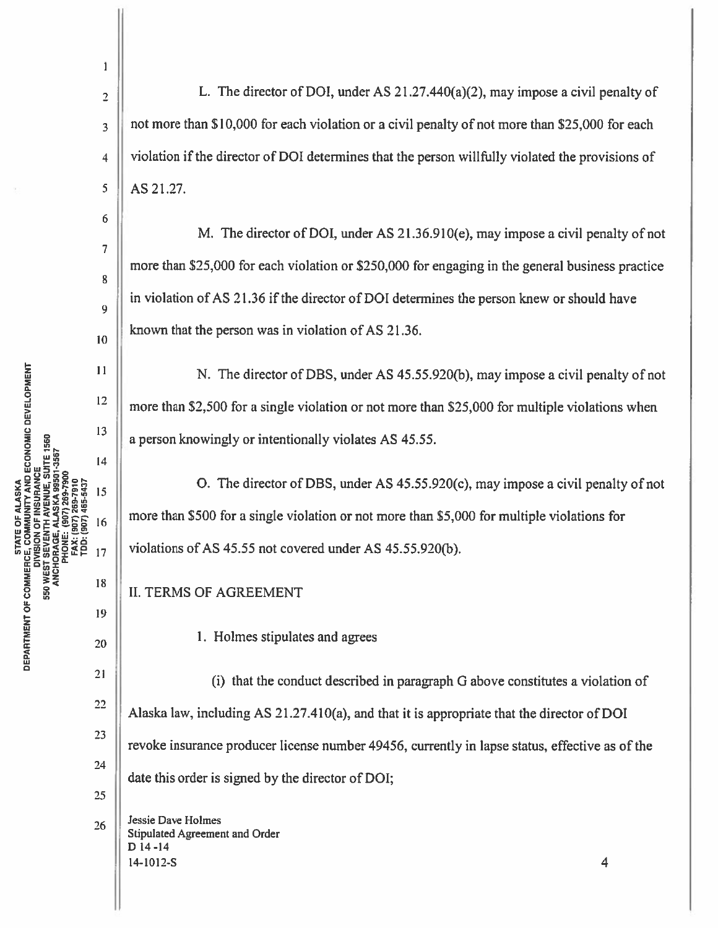STATE OF COMMERCE, COMMUNITY AND ECONOMIC DEVELOPMENT<br>DEPARTMENT OF COMMERCE, COMMUNITY AND ECONOMIC DEVELOPMENT<br>550 WEDDAGE, ALASKAUE, SISTE 1550<br>ANCHORAGE, ALASKAUE, SIST-3557<br>ANCHORAGE, ALASKAUE, SIST-3557 FAX: (907)<br>TDD: (907) 6

 $\mathbf{1}$ 

3

7

8

9

12

Is

'9

2  $\parallel$  L. The director of DOI, under AS 21.27.440(a)(2), may impose a civil penalty of not more than \$10,000 for each violation or <sup>a</sup> civil penalty of not more than \$25,000 for each 4 | violation if the director of DOI determines that the person willfully violated the provisions of 5 AS 21.27.

M. The director of DOl, under AS 21.36.910(e), may impose <sup>a</sup> civil penalty of not more than \$25,000 for each violation or \$250,000 for engaging in the genera<sup>l</sup> business practice in violation of AS 21.36 if the director of DOI determines the person knew or should have  $\left\| \right\|$  known that the person was in violation of AS 21.36.

 $\lvert$  N. The director of DBS, under AS 45.55.920(b), may impose a civil penalty of not more than \$2,500 for <sup>a</sup> single violation or not more than \$25,000 for multiple violations when  $\left\| \right\|$  a person knowingly or intentionally violates AS 45.55.

 $\begin{array}{c|c|c|c|c|c|c|c} \hline \text{R5} & \text{O.} & \text{The director of DBS, under AS 45.55.920(c), may impose a civil penalty of not a single problem.} \end{array}$  $_{16}$  more than \$500 for a single violation or not more than \$5,000 for multiple violations for  $_{17}$  | violations of AS 45.55 not covered under AS 45.55.920(b).

II. TERMS OF AGREEMENT

 $\begin{array}{c|c}\n & 20\n\end{array}$  1. Holmes stipulates and agrees

<sup>21</sup> (i) that the conduct described in paragraph G above constitutes a violation of <sup>22</sup> Alaska law, including AS 21.27.410(a), and that it is appropriate that the director of DOI 23 revoke insurance producer license number 49456, currently in lapse status, effective as of the 24 date this order is signed by the director of DOl; 25

Jessie Dave Holmes  $26$  || Jessie Dave Holmes<br>Stipulated Agreement and Order D 14-14  $14-1012-S$  4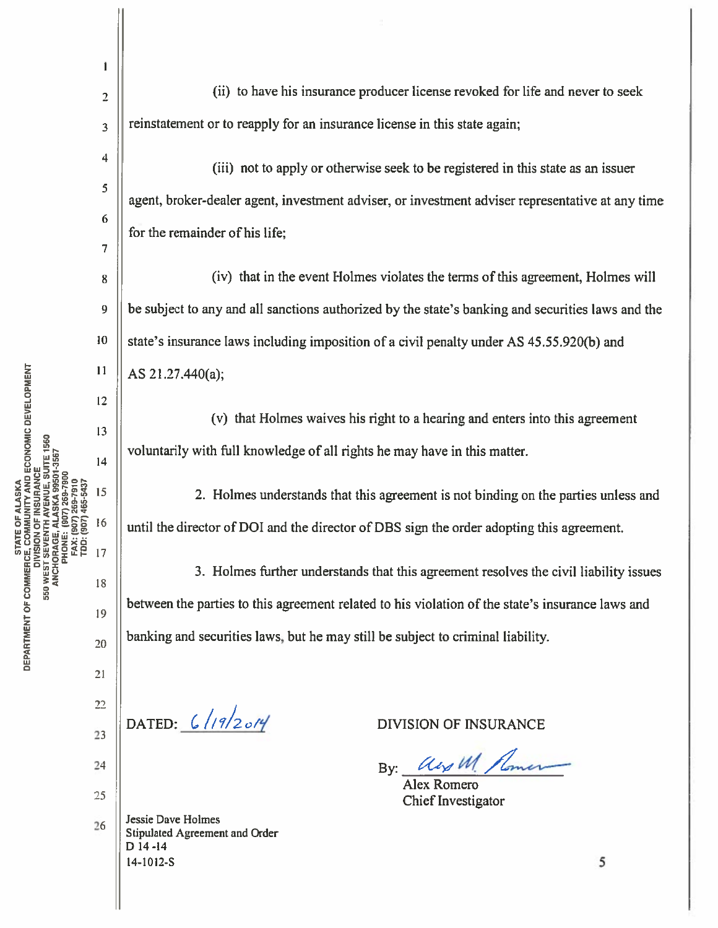$\mathbf{r}_2$  (ii) to have his insurance producer license revoked for life and never to seek  $3 \parallel$  reinstatement or to reapply for an insurance license in this state again; (iii) not to apply or otherwise seek to be registered in this state as an issuer 5 agent, broker-dealer agent, investment adviser, or investment adviser representative at any time 6 for the remainder of his life; 7 8 (iv) that in the event Holmes violates the terms of this agreement, Holmes will <sup>9</sup> be subject to any and all sanctions authorized by the state's banking and securities laws and the 10 | state's insurance laws including imposition of a civil penalty under AS 45.55.920(b) and AS 21.27.440(a); 13 (v) that Holmes waives his right to <sup>a</sup> hearing and enters into this agreemen<sup>t</sup> voluntarily with full knowledge of all rights he may have in this matter. 0 HH 14<br>0 U HH 14<br>0 U HH 14  $\begin{array}{c|c|c|c|c|c} \hline 15 & 2. & \text{Holmes understands that this agreement is not binding on the parties unless and} \hline \end{array}$  $\frac{16}{16}$  until the director of DOI and the director of DBS sign the order adopting this agreement. <oS>Ozxo 17  $\frac{3}{18}$  3. Holmes further understands that this agreement resolves the civil liability issues 0°  $\mathbf{p}$  between the parties to this agreement related to his violation of the state's insurance laws and , banking and securities laws, but he may still be subject to criminal liability. 23 DATED:  $6/19/20/9$  DIVISION OF INSURANCE 24 By: \_\_\_\_\_\_\_\_\_\_\_\_\_\_\_\_\_ <sup>25</sup> 26 Jessie Dave Holmes Stipulated Agreement and Order D 14-14

Alex Romero

 $14-1012-S$  5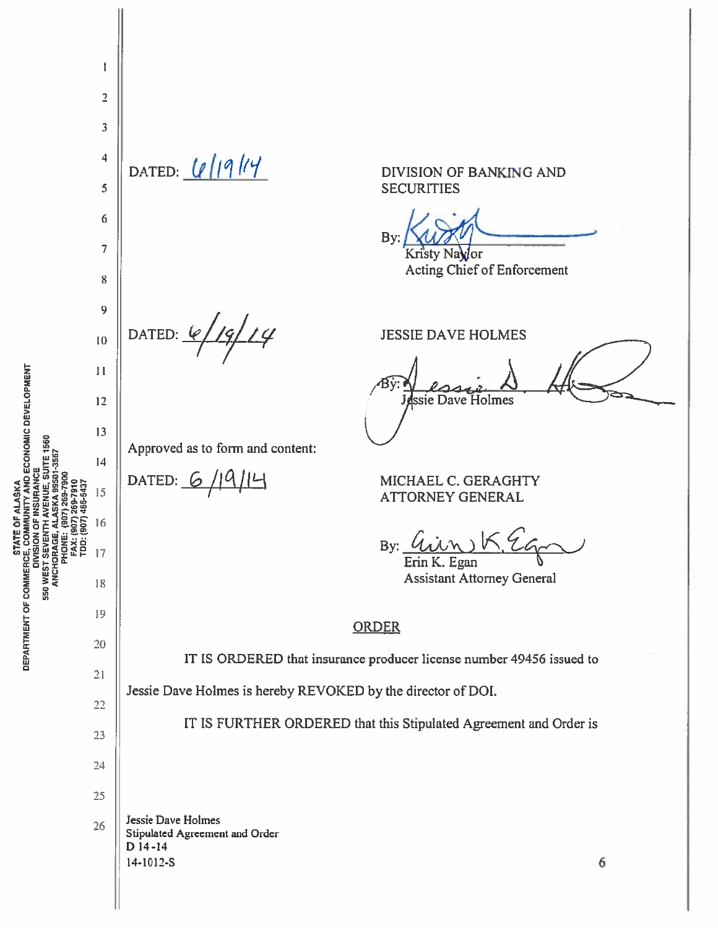$\mathbf{I}$  $\overline{2}$  $\overline{3}$  $\overline{4}$ DATED:  $\lfloor l \rfloor \lfloor 9 \rfloor$ DIVISION OF BANKING AND 5 **SECURITIES** 6 Bv:  $\overline{7}$ Kristy Navlor Acting Chief of Enforcement 8 9 19/14 DATED:  $\varphi$ **JESSIE DAVE HOLMES** 10 11 ssie Dave Holmes 12 13 **ENUE, SUITE 1560** Approved as to form and content: ASKA 99501-3567  $14$ <u> 19714</u> DATED:  $6$ MICHAEL C. GERAGHTY 269-7910 1465-5437 15 **ATTORNEY GENERAL** 16 TDD: (907) **550 WEST SEVEN LUGREDITUZE** By: 17 Erin K. Egan **Assistant Attorney General** 18 19 **ORDER** 20 IT IS ORDERED that insurance producer license number 49456 issued to  $21$ Jessie Dave Holmes is hereby REVOKED by the director of DOI. 22 IT IS FURTHER ORDERED that this Stipulated Agreement and Order is 23 24 25 **Jessie Dave Holmes** 26 Stipulated Agreement and Order  $D$  14 -14 14-1012-S 6

DEPARTMENT OF COMMERCE, COMMUNITY AND ECONOMIC DEVELOPMENT

STATE OF ALASKA

DIVISION OF INSURANCE